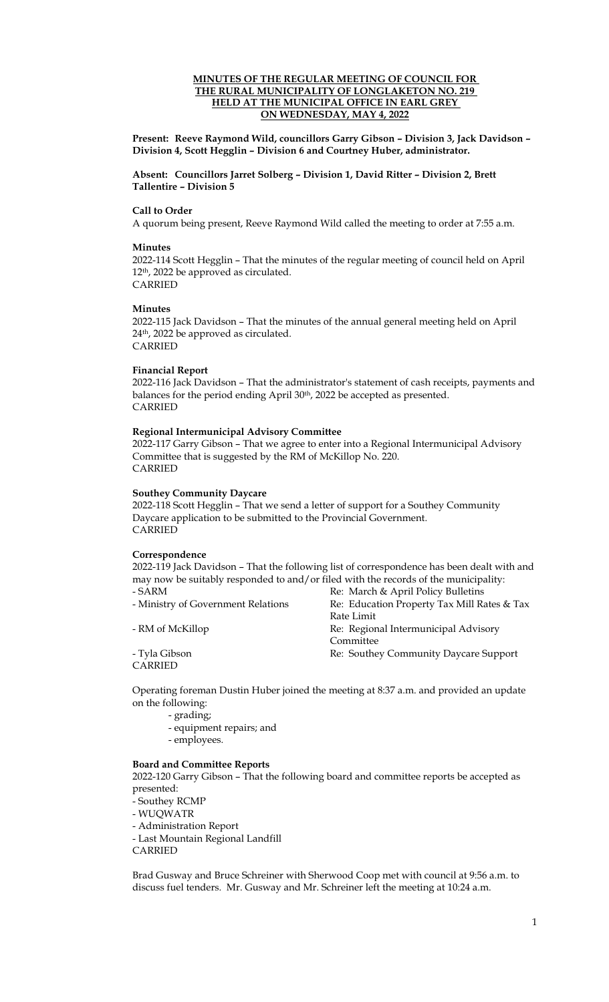#### **MINUTES OF THE REGULAR MEETING OF COUNCIL FOR THE RURAL MUNICIPALITY OF LONGLAKETON NO. 219 HELD AT THE MUNICIPAL OFFICE IN EARL GREY ON WEDNESDAY, MAY 4, 2022**

**Present: Reeve Raymond Wild, councillors Garry Gibson – Division 3, Jack Davidson – Division 4, Scott Hegglin – Division 6 and Courtney Huber, administrator.** 

**Absent: Councillors Jarret Solberg – Division 1, David Ritter – Division 2, Brett Tallentire – Division 5** 

#### **Call to Order**

A quorum being present, Reeve Raymond Wild called the meeting to order at 7:55 a.m.

#### **Minutes**

2022-114 Scott Hegglin – That the minutes of the regular meeting of council held on April 12th, 2022 be approved as circulated. CARRIED

#### **Minutes**

2022-115 Jack Davidson – That the minutes of the annual general meeting held on April 24th, 2022 be approved as circulated. CARRIED

## **Financial Report**

2022-116 Jack Davidson – That the administrator's statement of cash receipts, payments and balances for the period ending April 30<sup>th</sup>, 2022 be accepted as presented. CARRIED

#### **Regional Intermunicipal Advisory Committee**

2022-117 Garry Gibson – That we agree to enter into a Regional Intermunicipal Advisory Committee that is suggested by the RM of McKillop No. 220. CARRIED

#### **Southey Community Daycare**

2022-118 Scott Hegglin – That we send a letter of support for a Southey Community Daycare application to be submitted to the Provincial Government. CARRIED

#### **Correspondence**

2022-119 Jack Davidson – That the following list of correspondence has been dealt with and may now be suitably responded to and/or filed with the records of the municipality: - SARM Re: March & April Policy Bulletins

**CARRIED** 

- Ministry of Government Relations Re: Education Property Tax Mill Rates & Tax Rate Limit - RM of McKillop Re: Regional Intermunicipal Advisory Committee - Tyla Gibson Re: Southey Community Daycare Support

Operating foreman Dustin Huber joined the meeting at 8:37 a.m. and provided an update on the following:

- grading;
- equipment repairs; and
- employees.

#### **Board and Committee Reports**

2022-120 Garry Gibson – That the following board and committee reports be accepted as presented:

- Southey RCMP

- WUQWATR

- Administration Report
- Last Mountain Regional Landfill

CARRIED

Brad Gusway and Bruce Schreiner with Sherwood Coop met with council at 9:56 a.m. to discuss fuel tenders. Mr. Gusway and Mr. Schreiner left the meeting at 10:24 a.m.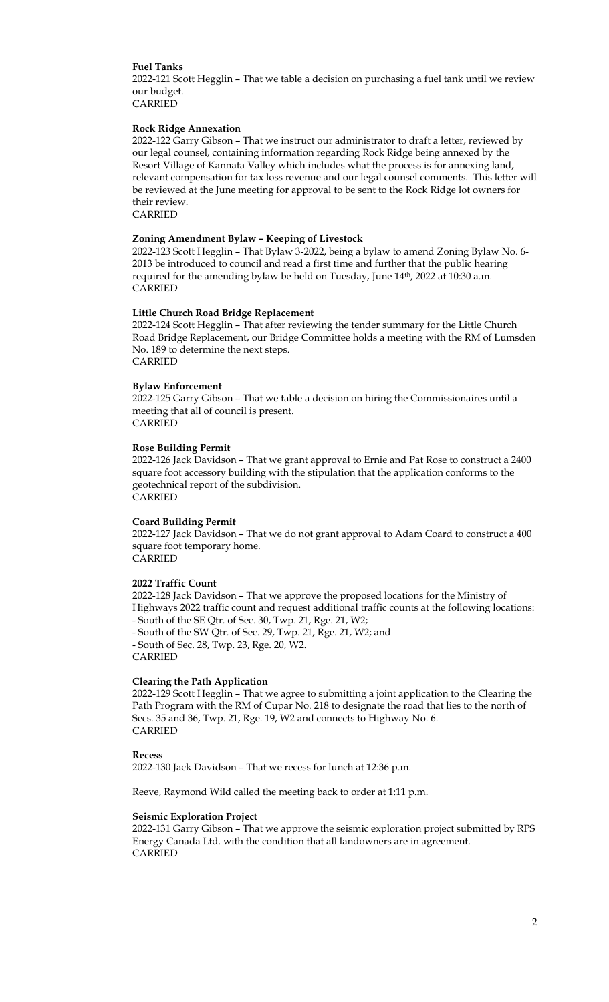#### **Fuel Tanks**

2022-121 Scott Hegglin – That we table a decision on purchasing a fuel tank until we review our budget.

CARRIED

## **Rock Ridge Annexation**

2022-122 Garry Gibson – That we instruct our administrator to draft a letter, reviewed by our legal counsel, containing information regarding Rock Ridge being annexed by the Resort Village of Kannata Valley which includes what the process is for annexing land, relevant compensation for tax loss revenue and our legal counsel comments. This letter will be reviewed at the June meeting for approval to be sent to the Rock Ridge lot owners for their review.

CARRIED

#### **Zoning Amendment Bylaw – Keeping of Livestock**

2022-123 Scott Hegglin – That Bylaw 3-2022, being a bylaw to amend Zoning Bylaw No. 6- 2013 be introduced to council and read a first time and further that the public hearing required for the amending bylaw be held on Tuesday, June 14<sup>th</sup>, 2022 at 10:30 a.m. CARRIED

#### **Little Church Road Bridge Replacement**

2022-124 Scott Hegglin – That after reviewing the tender summary for the Little Church Road Bridge Replacement, our Bridge Committee holds a meeting with the RM of Lumsden No. 189 to determine the next steps. CARRIED

#### **Bylaw Enforcement**

2022-125 Garry Gibson – That we table a decision on hiring the Commissionaires until a meeting that all of council is present. CARRIED

## **Rose Building Permit**

2022-126 Jack Davidson – That we grant approval to Ernie and Pat Rose to construct a 2400 square foot accessory building with the stipulation that the application conforms to the geotechnical report of the subdivision. CARRIED

#### **Coard Building Permit**

2022-127 Jack Davidson – That we do not grant approval to Adam Coard to construct a 400 square foot temporary home. CARRIED

#### **2022 Traffic Count**

2022-128 Jack Davidson – That we approve the proposed locations for the Ministry of Highways 2022 traffic count and request additional traffic counts at the following locations: - South of the SE Qtr. of Sec. 30, Twp. 21, Rge. 21, W2;

- South of the SW Qtr. of Sec. 29, Twp. 21, Rge. 21, W2; and - South of Sec. 28, Twp. 23, Rge. 20, W2. CARRIED

#### **Clearing the Path Application**

2022-129 Scott Hegglin – That we agree to submitting a joint application to the Clearing the Path Program with the RM of Cupar No. 218 to designate the road that lies to the north of Secs. 35 and 36, Twp. 21, Rge. 19, W2 and connects to Highway No. 6. CARRIED

#### **Recess**

2022-130 Jack Davidson – That we recess for lunch at 12:36 p.m.

Reeve, Raymond Wild called the meeting back to order at 1:11 p.m.

#### **Seismic Exploration Project**

2022-131 Garry Gibson – That we approve the seismic exploration project submitted by RPS Energy Canada Ltd. with the condition that all landowners are in agreement. CARRIED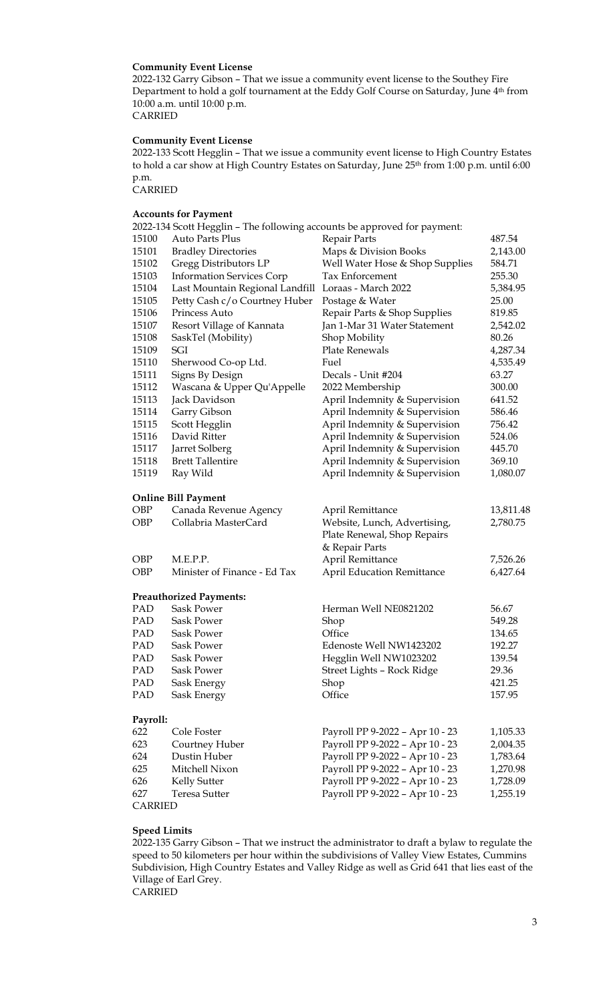#### **Community Event License**

2022-132 Garry Gibson – That we issue a community event license to the Southey Fire Department to hold a golf tournament at the Eddy Golf Course on Saturday, June 4<sup>th</sup> from 10:00 a.m. until 10:00 p.m. CARRIED

#### **Community Event License**

2022-133 Scott Hegglin – That we issue a community event license to High Country Estates to hold a car show at High Country Estates on Saturday, June 25<sup>th</sup> from 1:00 p.m. until 6:00 p.m.

CARRIED

### **Accounts for Payment**

2022-134 Scott Hegglin – The following accounts be approved for payment: 15100 Auto Parts Plus Repair Parts Repair Parts 487.54 15101 Bradley Directories Maps & Division Books 2,143.00 15102 Gregg Distributors LP Well Water Hose & Shop Supplies 584.71 15103 Information Services Corp Tax Enforcement 255.30 15104 Last Mountain Regional Landfill Loraas - March 2022 5,384.95 15105 Petty Cash c/o Courtney Huber Postage & Water 25.00 15106 Princess Auto Repair Parts & Shop Supplies 819.85<br>15107 Resort Village of Kannata Ian 1-Mar 31 Water Statement 2.542.0 15107 Resort Village of Kannata Jan 1-Mar 31 Water Statement 2,542.02 15108 SaskTel (Mobility) Shop Mobility 80.26 15109 SGI Plate Renewals 4,287.34 15110 Sherwood Co-op Ltd. Fuel 4,535.49 15111 Signs By Design Decals - Unit #204 63.27 15112 Wascana & Upper Qu'Appelle 2022 Membership 300.00 15113 Jack Davidson April Indemnity & Supervision 641.52 15114 Garry Gibson April Indemnity & Supervision 586.46 15115 Scott Hegglin April Indemnity & Supervision 756.42 15116 David Ritter **April Indemnity & Supervision** 524.06 15117 Jarret Solberg **April Indemnity & Supervision** 445.70 15118 Brett Tallentire **April Indemnity & Supervision** 369.10 15119 Ray Wild April Indemnity & Supervision 1,080.07 **Online Bill Payment** OBP Canada Revenue Agency April Remittance 13,811.48 OBP Collabria MasterCard Website, Lunch, Advertising, 2,780.75 Plate Renewal, Shop Repairs & Repair Parts OBP M.E.P.P. April Remittance 7,526.26 OBP Minister of Finance - Ed Tax April Education Remittance 6,427.64 **Preauthorized Payments:** PAD Sask Power Herman Well NE0821202 56.67 PAD Sask Power Shop 549.28 PAD Sask Power Office 134.65 PAD Sask Power Edenoste Well NW1423202 192.27 PAD Sask Power Hegglin Well NW1023202 139.54 PAD Sask Power Street Lights – Rock Ridge 29.36 PAD Sask Energy Shop Shop 421.25 PAD Sask Energy Office 2157.95 **Payroll:** 622 Cole Foster Payroll PP 9-2022 – Apr 10 - 23 1,105.33 623 Courtney Huber Payroll PP 9-2022 – Apr 10 - 23 2,004.35 624 Dustin Huber Payroll PP 9-2022 – Apr 10 - 23 1,783.64 625 Mitchell Nixon Payroll PP 9-2022 – Apr 10 - 23 1,270.98 626 Kelly Sutter Payroll PP 9-2022 – Apr 10 - 23 1,728.09 627 Teresa Sutter Payroll PP 9-2022 – Apr 10 - 23 1,255.19 CARRIED

**Speed Limits** 2022-135 Garry Gibson – That we instruct the administrator to draft a bylaw to regulate the speed to 50 kilometers per hour within the subdivisions of Valley View Estates, Cummins Subdivision, High Country Estates and Valley Ridge as well as Grid 641 that lies east of the Village of Earl Grey.

CARRIED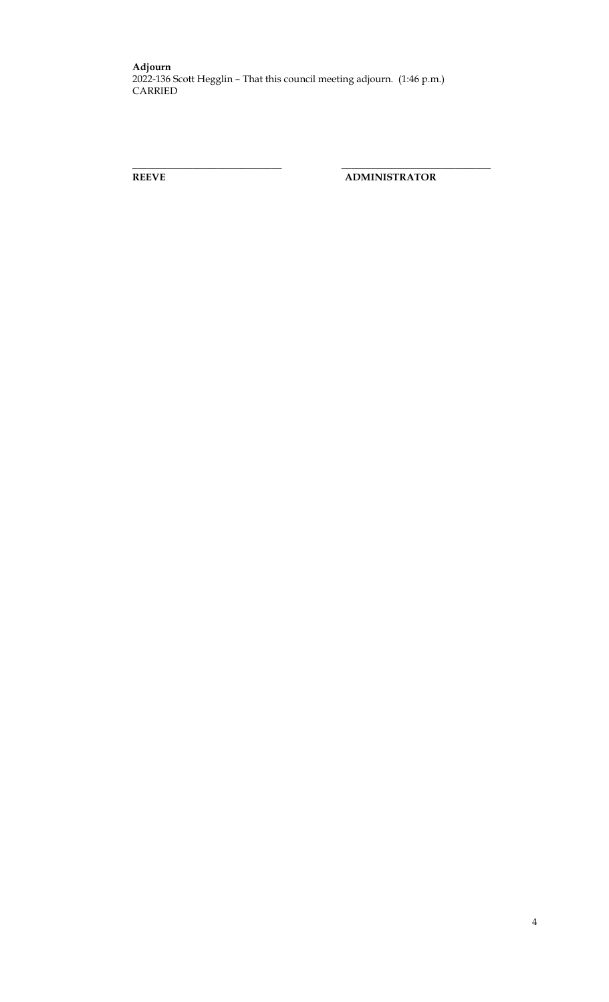**\_\_\_\_\_\_\_\_\_\_\_\_\_\_\_\_\_\_\_\_\_\_\_\_\_\_\_\_\_\_ \_\_\_\_\_\_\_\_\_\_\_\_\_\_\_\_\_\_\_\_\_\_\_\_\_\_\_\_\_\_**

**REEVE ADMINISTRATOR**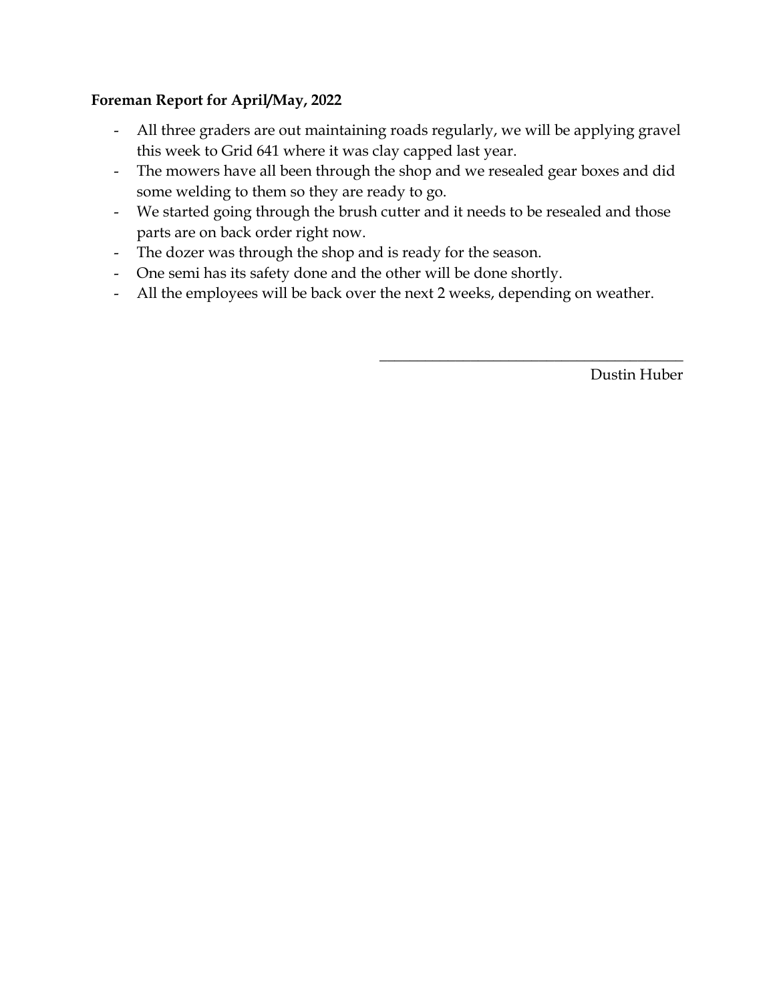# **Foreman Report for April/May, 2022**

- All three graders are out maintaining roads regularly, we will be applying gravel this week to Grid 641 where it was clay capped last year.
- The mowers have all been through the shop and we resealed gear boxes and did some welding to them so they are ready to go.
- We started going through the brush cutter and it needs to be resealed and those parts are on back order right now.
- The dozer was through the shop and is ready for the season.
- One semi has its safety done and the other will be done shortly.
- All the employees will be back over the next 2 weeks, depending on weather.

Dustin Huber

 $\overline{\phantom{a}}$  , where  $\overline{\phantom{a}}$  , where  $\overline{\phantom{a}}$  ,  $\overline{\phantom{a}}$  ,  $\overline{\phantom{a}}$  ,  $\overline{\phantom{a}}$  ,  $\overline{\phantom{a}}$  ,  $\overline{\phantom{a}}$  ,  $\overline{\phantom{a}}$  ,  $\overline{\phantom{a}}$  ,  $\overline{\phantom{a}}$  ,  $\overline{\phantom{a}}$  ,  $\overline{\phantom{a}}$  ,  $\overline{\phantom{a}}$  ,  $\overline{\phantom{a}}$  ,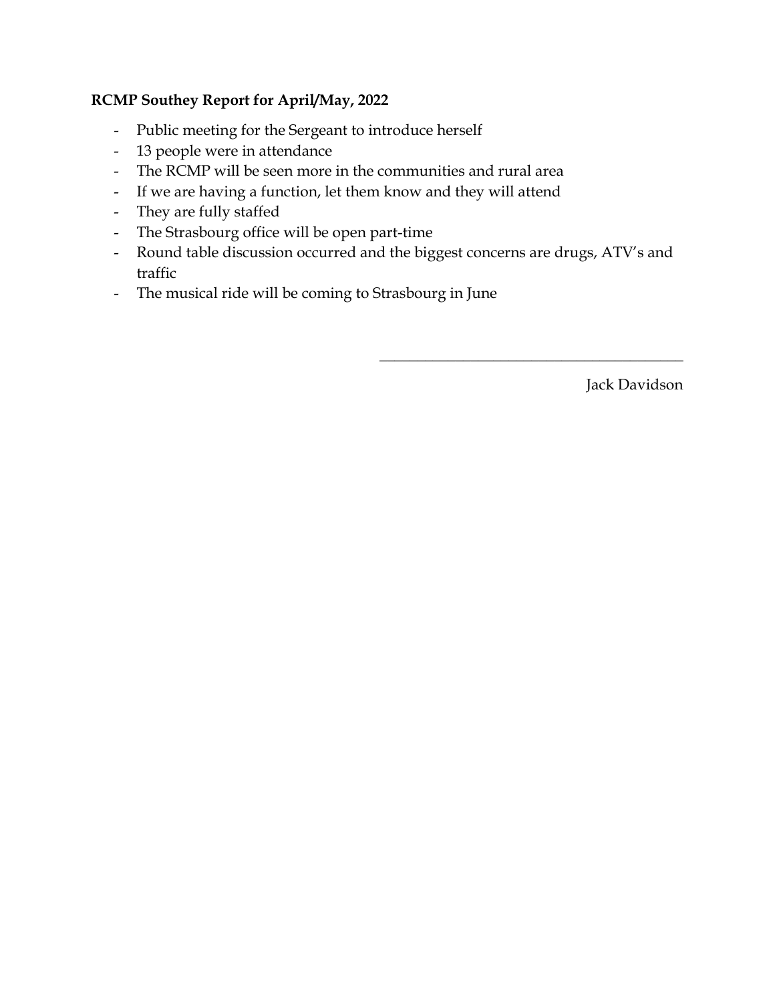# **RCMP Southey Report for April/May, 2022**

- Public meeting for the Sergeant to introduce herself
- 13 people were in attendance
- The RCMP will be seen more in the communities and rural area
- If we are having a function, let them know and they will attend
- They are fully staffed
- The Strasbourg office will be open part-time
- Round table discussion occurred and the biggest concerns are drugs, ATV's and traffic
- The musical ride will be coming to Strasbourg in June

Jack Davidson

 $\overline{\phantom{a}}$  , and the set of the set of the set of the set of the set of the set of the set of the set of the set of the set of the set of the set of the set of the set of the set of the set of the set of the set of the s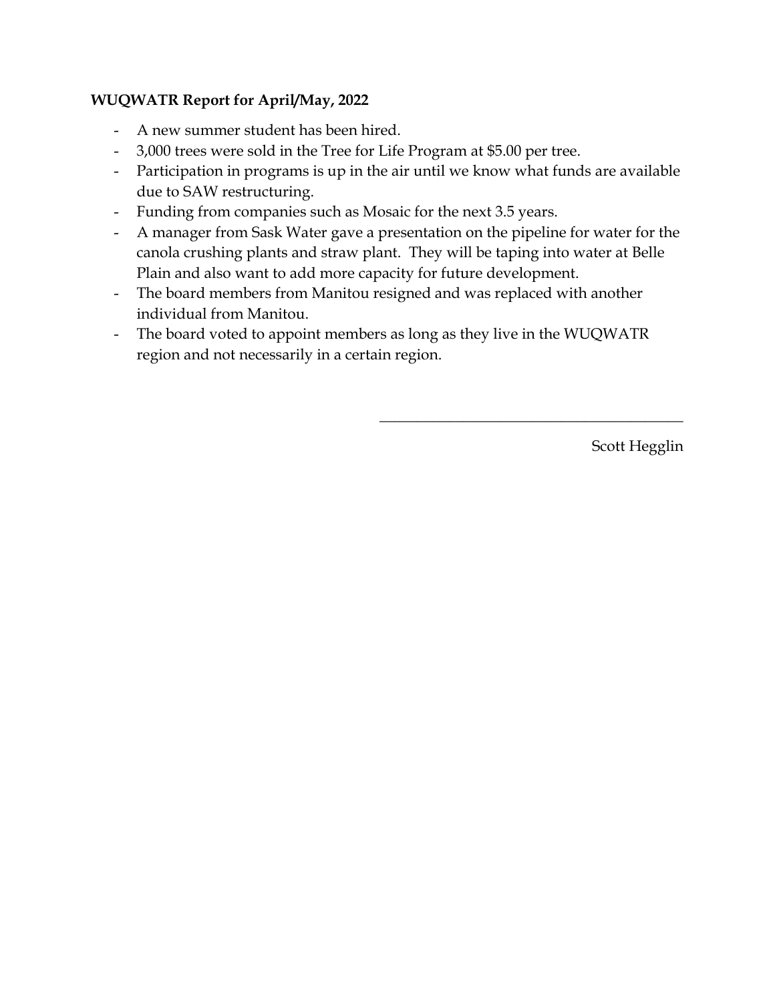# **WUQWATR Report for April/May, 2022**

- A new summer student has been hired.
- 3,000 trees were sold in the Tree for Life Program at \$5.00 per tree.
- Participation in programs is up in the air until we know what funds are available due to SAW restructuring.
- Funding from companies such as Mosaic for the next 3.5 years.
- A manager from Sask Water gave a presentation on the pipeline for water for the canola crushing plants and straw plant. They will be taping into water at Belle Plain and also want to add more capacity for future development.
- The board members from Manitou resigned and was replaced with another individual from Manitou.
- The board voted to appoint members as long as they live in the WUQWATR region and not necessarily in a certain region.

Scott Hegglin

 $\overline{\phantom{a}}$  , and the set of the set of the set of the set of the set of the set of the set of the set of the set of the set of the set of the set of the set of the set of the set of the set of the set of the set of the s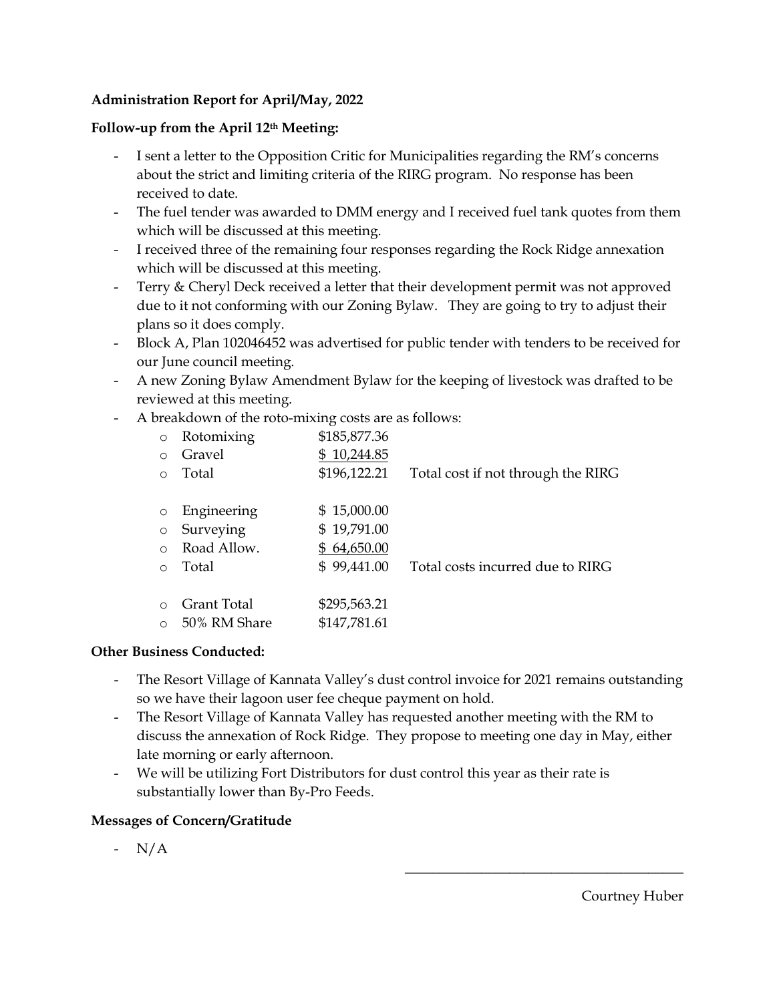## **Administration Report for April/May, 2022**

## **Follow-up from the April 12th Meeting:**

- I sent a letter to the Opposition Critic for Municipalities regarding the RM's concerns about the strict and limiting criteria of the RIRG program. No response has been received to date.
- The fuel tender was awarded to DMM energy and I received fuel tank quotes from them which will be discussed at this meeting.
- I received three of the remaining four responses regarding the Rock Ridge annexation which will be discussed at this meeting.
- Terry & Cheryl Deck received a letter that their development permit was not approved due to it not conforming with our Zoning Bylaw. They are going to try to adjust their plans so it does comply.
- Block A, Plan 102046452 was advertised for public tender with tenders to be received for our June council meeting.
- A new Zoning Bylaw Amendment Bylaw for the keeping of livestock was drafted to be reviewed at this meeting.
- A breakdown of the roto-mixing costs are as follows:

| $\circ$    | Rotomixing   | \$185,877.36 |                                    |
|------------|--------------|--------------|------------------------------------|
| $\circ$    | Gravel       | \$10,244.85  |                                    |
| $\Omega$   | Total        | \$196,122.21 | Total cost if not through the RIRG |
|            |              |              |                                    |
| $\circ$    | Engineering  | \$15,000.00  |                                    |
| $\circ$    | Surveying    | \$19,791.00  |                                    |
| $\bigcirc$ | Road Allow.  | \$64,650.00  |                                    |
| $\Omega$   | Total        | \$99,441.00  | Total costs incurred due to RIRG   |
|            |              |              |                                    |
| $\Omega$   | Grant Total  | \$295,563.21 |                                    |
| $\circ$    | 50% RM Share | \$147,781.61 |                                    |

## **Other Business Conducted:**

- The Resort Village of Kannata Valley's dust control invoice for 2021 remains outstanding so we have their lagoon user fee cheque payment on hold.
- The Resort Village of Kannata Valley has requested another meeting with the RM to discuss the annexation of Rock Ridge. They propose to meeting one day in May, either late morning or early afternoon.
- We will be utilizing Fort Distributors for dust control this year as their rate is substantially lower than By-Pro Feeds.

## **Messages of Concern/Gratitude**

- N/A

 $\overline{\phantom{a}}$  , and the set of the set of the set of the set of the set of the set of the set of the set of the set of the set of the set of the set of the set of the set of the set of the set of the set of the set of the s